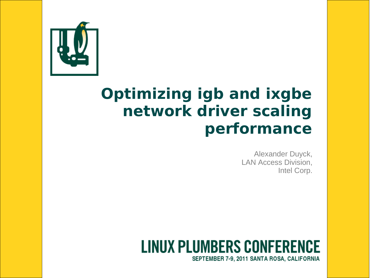

#### **Optimizing igb and ixgbe network driver scaling performance**

Alexander Duyck, LAN Access Division, Intel Corp.

#### **LINUX PLUMBERS CONFERENCE** SEPTEMBER 7-9, 2011 SANTA ROSA, CALIFORNIA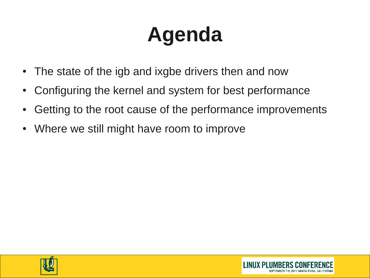# **Agenda**

- The state of the igb and ixgbe drivers then and now
- Configuring the kernel and system for best performance
- Getting to the root cause of the performance improvements
- Where we still might have room to improve



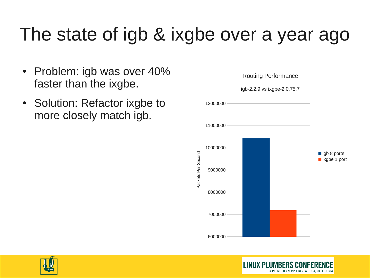### The state of igb & ixgbe over a year ago

- Problem: igb was over 40% faster than the ixgbe.
- Solution: Refactor ixgbe to more closely match igb.



**LINUX PLUMBERS CO** 

SEPTEMBER 7-9, 2011 SANTA ROSA, CALIFORNIA

Routing Performance

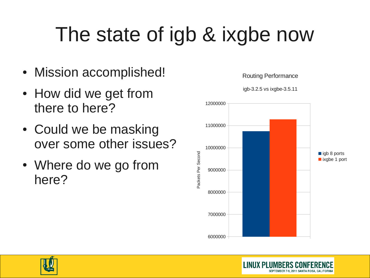# The state of igb & ixgbe now

- Mission accomplished!
- How did we get from there to here?
- Could we be masking over some other issues?
- Where do we go from here?



**LINUX PLUMBERS** 

SEPTEMBER 7-9, 2011 SANTA ROSA



Routing Performance

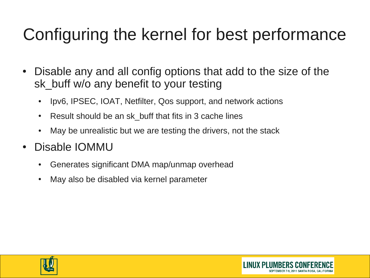#### Configuring the kernel for best performance

- Disable any and all config options that add to the size of the sk buff w/o any benefit to your testing
	- Ipv6, IPSEC, IOAT, Netfilter, Qos support, and network actions
	- Result should be an sk buff that fits in 3 cache lines
	- May be unrealistic but we are testing the drivers, not the stack
- Disable IOMMU
	- Generates significant DMA map/unmap overhead
	- May also be disabled via kernel parameter



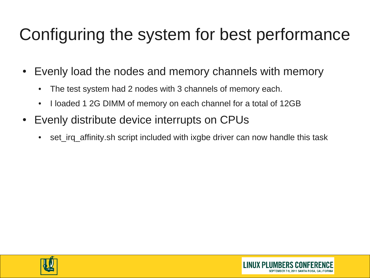#### Configuring the system for best performance

- Evenly load the nodes and memory channels with memory
	- The test system had 2 nodes with 3 channels of memory each.
	- I loaded 1 2G DIMM of memory on each channel for a total of 12GB
- Evenly distribute device interrupts on CPUs
	- set irq affinity.sh script included with ixgbe driver can now handle this task



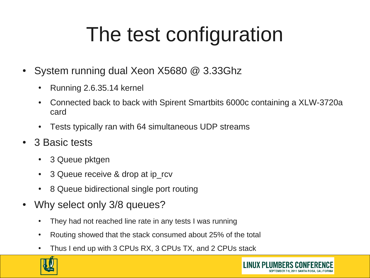# The test configuration

- System running dual Xeon  $X5680$  @ 3.33Ghz
	- Running 2.6.35.14 kernel
	- Connected back to back with Spirent Smartbits 6000c containing a XLW-3720a card
	- Tests typically ran with 64 simultaneous UDP streams
- 3 Basic tests
	- 3 Queue pktgen
	- 3 Queue receive & drop at ip rcv
	- 8 Queue bidirectional single port routing
- Why select only 3/8 queues?
	- They had not reached line rate in any tests I was running
	- Routing showed that the stack consumed about 25% of the total
	- Thus I end up with 3 CPUs RX, 3 CPUs TX, and 2 CPUs stack

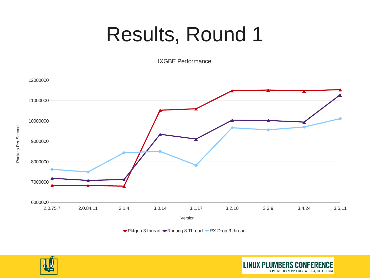## Results, Round 1

IXGBE Performance



 $\rightarrow$  Pktgen 3 thread  $\rightarrow$  Routing 8 Thread  $\rightarrow$  RX Drop 3 thread

**LINUX PLUMBERS CON** 

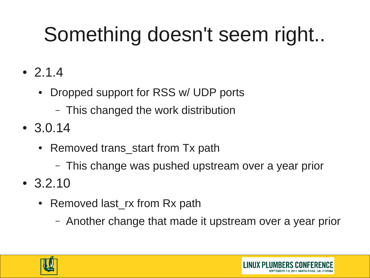# Something doesn't seem right..

- $-2.1.4$ 
	- Dropped support for RSS w/ UDP ports
		- This changed the work distribution
- $3.0.14$ 
	- Removed trans start from Tx path
		- This change was pushed upstream over a year prior
- $\cdot$  3.2.10
	- Removed last rx from Rx path
		- Another change that made it upstream over a year prior



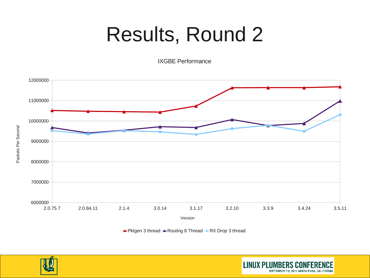## Results, Round 2

IXGBE Performance



 $\rightarrow$  Pktgen 3 thread  $\rightarrow$  Routing 8 Thread  $\rightarrow$  RX Drop 3 thread

**LINUX PLUMBERS CO** 

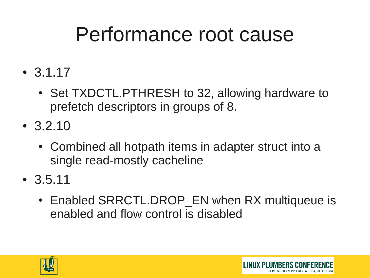## Performance root cause

- $3.1.17$ 
	- Set TXDCTL.PTHRESH to 32, allowing hardware to prefetch descriptors in groups of 8.
- $\cdot$  3.2.10
	- Combined all hotpath items in adapter struct into a single read-mostly cacheline
- 3.5.11
	- Enabled SRRCTL.DROP EN when RX multiqueue is enabled and flow control is disabled

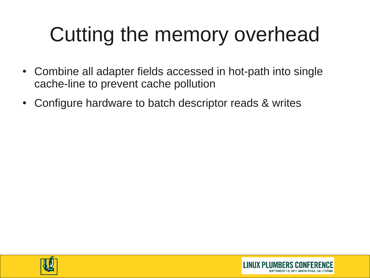# Cutting the memory overhead

- Combine all adapter fields accessed in hot-path into single cache-line to prevent cache pollution
- Configure hardware to batch descriptor reads & writes



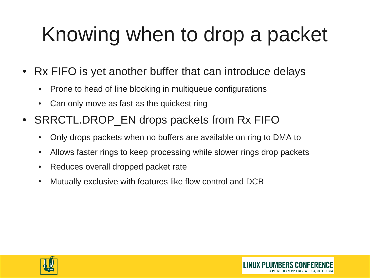# Knowing when to drop a packet

- Rx FIFO is yet another buffer that can introduce delays
	- Prone to head of line blocking in multiqueue configurations
	- Can only move as fast as the quickest ring
- SRRCTL.DROP EN drops packets from Rx FIFO
	- Only drops packets when no buffers are available on ring to DMA to
	- Allows faster rings to keep processing while slower rings drop packets
	- Reduces overall dropped packet rate
	- Mutually exclusive with features like flow control and DCB



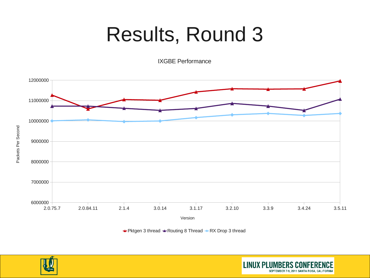## Results, Round 3

IXGBE Performance



 $\rightarrow$  Pktgen 3 thread  $\rightarrow$  Routing 8 Thread  $\rightarrow$  RX Drop 3 thread

**LINUX PLUMBERS CO** 

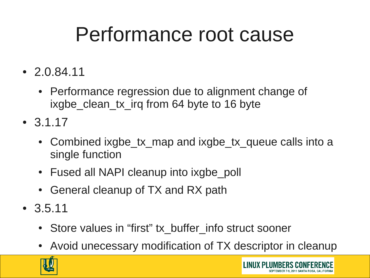## Performance root cause

- $\cdot$  2.0.84.11
	- Performance regression due to alignment change of ixgbe clean tx irq from 64 byte to 16 byte
- $-3.1.17$ 
	- Combined ixgbe tx map and ixgbe tx queue calls into a single function
	- Fused all NAPI cleanup into ixgbe poll
	- General cleanup of TX and RX path
- $3.5.11$ 
	- Store values in "first" tx buffer info struct sooner
	- Avoid unecessary modification of TX descriptor in cleanup

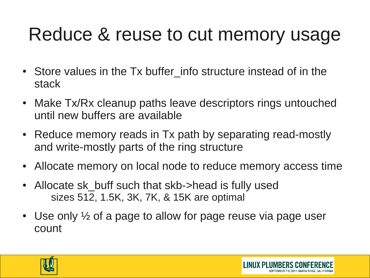### Reduce & reuse to cut memory usage

- Store values in the Tx buffer info structure instead of in the stack
- Make Tx/Rx cleanup paths leave descriptors rings untouched until new buffers are available
- Reduce memory reads in Tx path by separating read-mostly and write-mostly parts of the ring structure
- Allocate memory on local node to reduce memory access time
- Allocate sk buff such that skb->head is fully used sizes 512, 1.5K, 3K, 7K, & 15K are optimal
- Use only  $\frac{1}{2}$  of a page to allow for page reuse via page user count



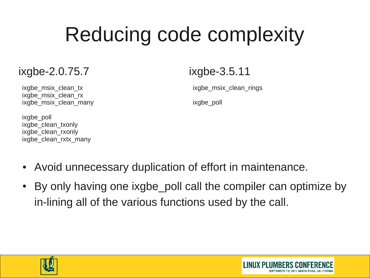# Reducing code complexity

#### ixgbe-2.0.75.7

ixgbe msix clean tx ixgbe msix clean rx ixgbe\_msix\_clean\_many

#### ixgbe-3.5.11

ixgbe msix clean rings

ixgbe\_poll

ixabe\_poll ixgbe\_clean\_txonly ixgbe\_clean\_rxonly ixgbe\_clean\_rxtx\_many

- Avoid unnecessary duplication of effort in maintenance.
- By only having one ixgbe poll call the compiler can optimize by in-lining all of the various functions used by the call.



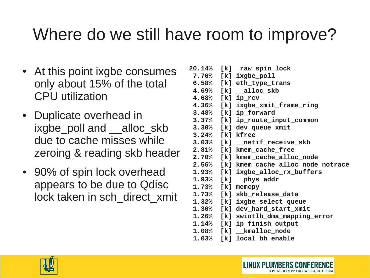#### Where do we still have room to improve?

- At this point ixgbe consumes only about 15% of the total CPU utilization
- Duplicate overhead in ixgbe poll and \_\_alloc\_skb due to cache misses while zeroing & reading skb header
- 90% of spin lock overhead appears to be due to Qdisc lock taken in sch\_direct\_xmit

|                  | 20.14% [k] _raw_spin_lock                                   |
|------------------|-------------------------------------------------------------|
|                  |                                                             |
|                  | 7.76% [k] ixgbe_poll                                        |
|                  | 6.58% [k] eth_type_trans                                    |
|                  | $4.69%$ $\lceil k \rceil$ $\qquad \qquad \text{alloc\_skb}$ |
| 4.68% [k] ip_rcv |                                                             |
|                  | 4.36% [k] ixgbe_xmit_frame_ring                             |
|                  | 3.48% [k] ip_forward                                        |
|                  | 3.37% [k] ip_route_input_common                             |
|                  | 3.30% [k] dev_queue_xmit                                    |
| 3.24% [k] kfree  |                                                             |
|                  | 3.03% [k] __netif_receive_skb                               |
|                  | 2.81% [k] kmem_cache_free                                   |
|                  | 2.70% [k] kmem_cache_alloc_node                             |
|                  | 2.56% [k] kmem_cache_alloc_node_notrace                     |
|                  | 1.93% [k] ixgbe_alloc_rx_buffers                            |
|                  | $1.93%$ [k] __phys_addr                                     |
| 1.73% [k] memcpy |                                                             |
|                  | 1.73% [k] skb_release_data                                  |
|                  | 1.32% [k] ixgbe_select_queue                                |
|                  | 1.30% [k] dev_hard_start_xmit                               |
|                  | 1.26% [k] swiotlb_dma_mapping_error                         |
|                  | 1.14% [k] ip_finish_output                                  |
|                  | 1.08% [k] __kmalloc_node                                    |
|                  | 1.03% [k] local_bh_enable                                   |

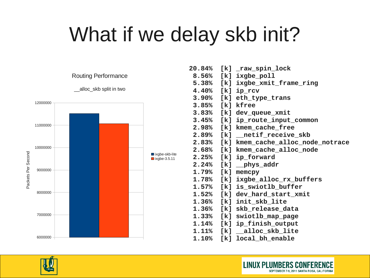## What if we delay skb init?



| 20.84% [k] _raw_spin_lock               |
|-----------------------------------------|
| 8.56% [k] ixgbe_poll                    |
| 5.38% [k] ixgbe_xmit_frame_ring         |
| 4.40% [k] ip_rcv                        |
| 3.90% [k] eth_type_trans                |
| 3.85% [k] kfree                         |
| 3.83% [k] dev_queue_xmit                |
| 3.45% [k] ip_route_input_common         |
| 2.98% [k] kmem_cache_free               |
| 2.89% [k] __netif_receive_skb           |
| 2.83% [k] kmem_cache_alloc_node_notrace |
| 2.68% [k] kmem_cache_alloc_node         |
| 2.25% [k] ip_forward                    |
| 2.24% [k] _phys_addr                    |
| 1.79% [k] memcpy                        |
| 1.78% [k] ixgbe_alloc_rx_buffers        |
| 1.57% [k] is_swiotlb_buffer             |
| 1.52% [k] dev_hard_start_xmit           |
| 1.36% [k] init_skb_lite                 |
| 1.36% [k] skb_release_data              |
| 1.33% [k] swiotlb_map_page              |
| 1.14% [k] ip_finish_output              |
| $1.11\%$ [k] $_{alloc\_skb\_lite}$      |
| 1.10% [k] local_bh_enable               |
|                                         |

**LINUX PLUMBERS CONFERE** 

SEPTEMBER 7-9, 2011 SANTA ROSA, CALIFORNIA

NCE

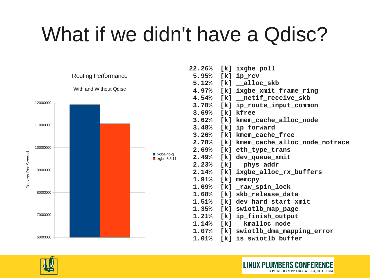## What if we didn't have a Qdisc?



|                  | 22.26% [k] ixgbe_poll                   |
|------------------|-----------------------------------------|
| 5.95% [k] ip_rcv |                                         |
|                  | 5.12% [k] __alloc_skb                   |
|                  | 4.97% [k] ixgbe_xmit_frame_ring         |
|                  | 4.54% [k] __netif_receive_skb           |
|                  | 3.78% [k] ip_route_input_common         |
| 3.69% [k] kfree  |                                         |
|                  | 3.62% [k] kmem_cache_alloc_node         |
|                  | 3.48% [k] ip_forward                    |
|                  | 3.26% [k] kmem_cache_free               |
|                  | 2.78% [k] kmem_cache_alloc_node_notrace |
|                  | 2.69% [k] eth_type_trans                |
|                  | 2.49% [k] dev_queue_xmit                |
|                  | 2.23% $[k]$ _phys_addr                  |
|                  | 2.14% [k] ixgbe_alloc_rx_buffers        |
|                  | 1.91% [k] memcpy                        |
|                  | 1.69% [k] _raw_spin_lock                |
|                  | 1.68% [k] skb_release_data              |
|                  | 1.51% [k] dev_hard_start_xmit           |
|                  | 1.35% [k] swiotlb_map_page              |
|                  | 1.21% [k] ip_finish_output              |
|                  | 1.14% [k] __kmalloc_node                |
|                  | 1.07% [k] swiotlb_dma_mapping_error     |
|                  | 1.01% [k] is_swiotlb_buffer             |

**LINUX PLUMBERS CONFER**